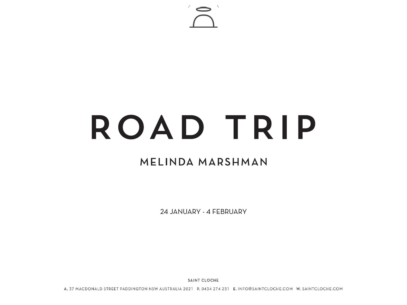

# ROAD TRIP

### MELINDA MARSHMAN

24 JANUARY - 4 FEBRUARY

**SAINT CLOCHE** 

A. 37 MACDONALD STREET PADDINGTON NSW AUSTRALIA 2021 P. 0434 274 251 E. INFO@SAINTCLOCHE.COM W. SAINTCLOCHE.COM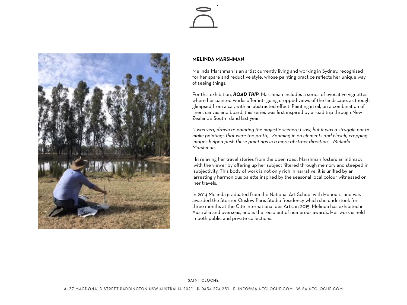



#### **MELINDA MARSHMAN**

Melinda Marshman is an artist currently living and working in Sydney, recognised for her spare and reductive style, whose painting practice reflects her unique way of seeing things.

For this exhibition, *ROAD TRIP*, Marshman includes a series of evocative vignettes, where her painted works offer intriguing cropped views of the landscape, as though glimpsed from a car, with an abstracted effect. Painting in oil, on a combination of linen, canvas and board, this series was first inspired by a road trip through New Zealand's South Island last year.

*"I was very drawn to painting the majestic scenery I saw, but it was a struggle not to make paintings that were too pretty. Zooming in on elements and closely cropping images helped push these paintings in a more abstract direction" - Melinda Marshman.* 

 In relaying her travel stories from the open road, Marshman fosters an intimacy with the viewer by offering up her subject filtered through memory and steeped in subjectivity. This body of work is not only rich in narrative, it is unified by an arrestingly harmonious palette inspired by the seasonal local colour witnessed on her travels.

In 2014 Melinda graduated from the National Art School with Honours, and was awarded the Storrier Onslow Paris Studio Residency which she undertook for three months at the Cité International des Arts, in 2015. Melinda has exhibited in Australia and overseas, and is the recipient of numerous awards. Her work is held in both public and private collections.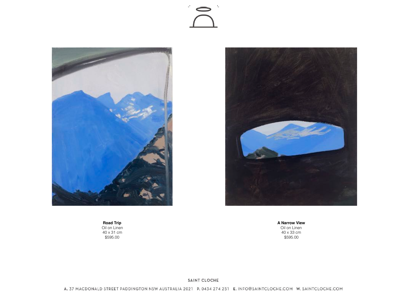



**Road Trip** Oil on Linen 40 x 31 cm \$595.00



**A Narrow View** Oil on Linen 40 x 33 cm \$595.00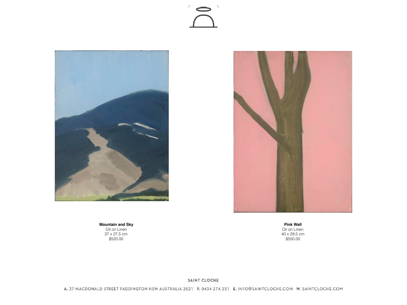#### $\mathbf{r}_\perp$  $\mathbb{R}^1$



**Pink Wall** Oil on Linen 40 x 29.5 cm \$550.00

**Mountain and Sky** Oil on Linen 37 x 27.5 cm \$520.00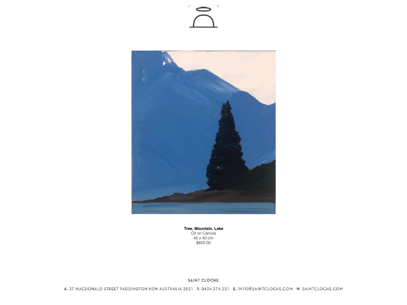#### $\mathcal{I}_\perp$  $\mathbb{R}^1$



Tree, Mountain, Lake<br>Oil on Canvas<br>45 x 40 cm<br>\$650.00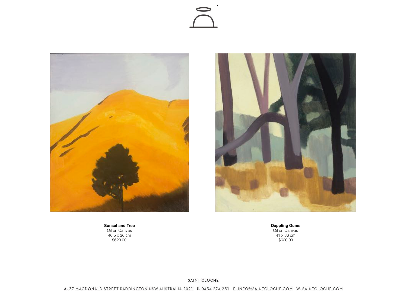



**Sunset and Tree** Oil on Canvas 40.5 x 36 cm \$620.00



**Dappling Gums** Oil on Canvas 41 x 36 cm \$620.00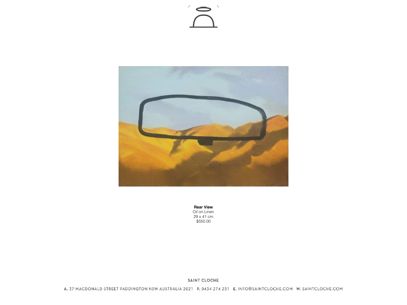## $\mathbf{1}_{\mathbf{m}}$



**Rear View**<br>
Oil on Linen<br>
29 x 41 cm<br>
\$550.00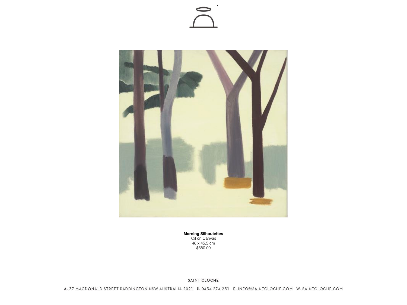



**Morning Silhoutettes**<br>Oil on Canvas<br>46 x 45.5 cm \$680.00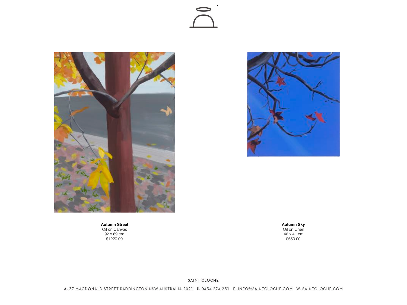## $\mathbb{L}$



**Autumn Street** Oil on Canvas 92 x 69 cm \$1220.00

**Autumn Sky** Oil on Linen 46 x 41 cm \$650.00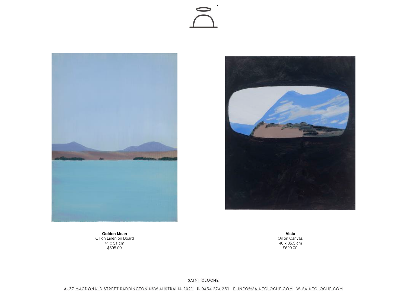





**Golden Mean** Oil on Linen on Board 41 x 31 cm \$595.00

**Vista** Oil on Canvas 40 x 35.5 cm \$620.00

#### SAINT CLOCHE

A. 37 MACDONALD STREET PADDINGTON NSW AUSTRALIA 2021 P. 0434 274 251 E. INFO@SAINTCLOCHE.COM W. SAINTCLOCHE.COM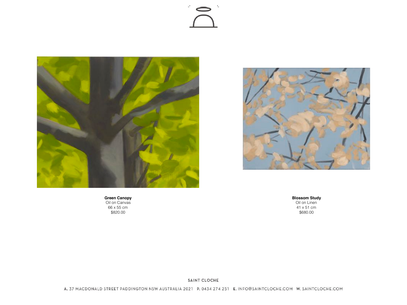# $\mathbf{r}_\perp$





**Green Canopy** Oil on Canvas 66 x 55 cm \$820.00

**Blossom Study**

Oil on Linen 41 x 51 cm \$680.00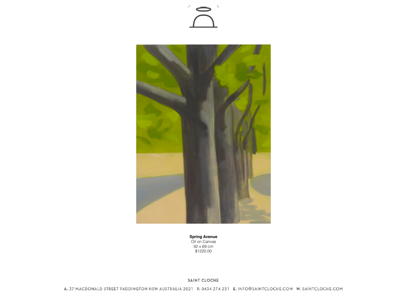



**Spring Avenue** Oil on Canvas 92 x 69 cm \$1220.00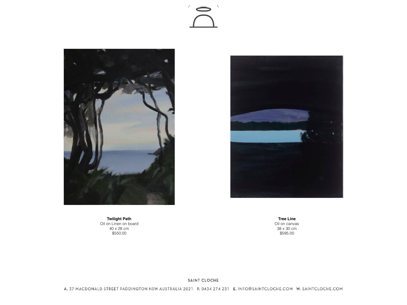





**Twilight Path** Oil on Linen on board 40 x 28 cm \$550.00

**Tree Line** Oil on canvas 38 x 30 cm \$595.00